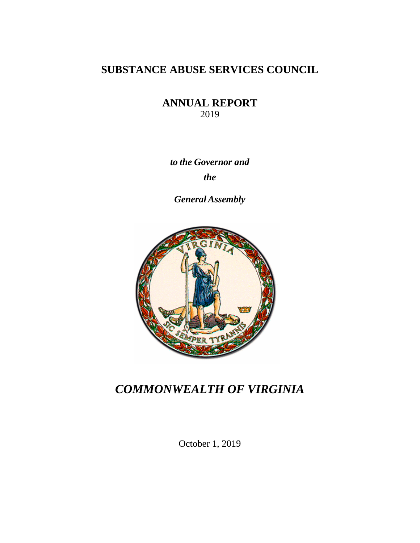## **SUBSTANCE ABUSE SERVICES COUNCIL**

**ANNUAL REPORT** 2019

*to the Governor and the*

*General Assembly*



## *COMMONWEALTH OF VIRGINIA*

October 1, 2019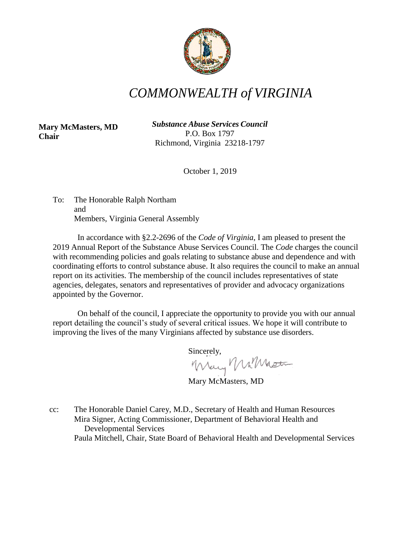

# *COMMONWEALTH of VIRGINIA*

**Mary McMasters, MD Chair**

*Substance Abuse Services Council* P.O. Box 1797 Richmond, Virginia 23218-1797

October 1, 2019

To: The Honorable Ralph Northam and Members, Virginia General Assembly

In accordance with §2.2-2696 of the *Code of Virginia*, I am pleased to present the 2019 Annual Report of the Substance Abuse Services Council. The *Code* charges the council with recommending policies and goals relating to substance abuse and dependence and with coordinating efforts to control substance abuse. It also requires the council to make an annual report on its activities. The membership of the council includes representatives of state agencies, delegates, senators and representatives of provider and advocacy organizations appointed by the Governor.

On behalf of the council, I appreciate the opportunity to provide you with our annual report detailing the council's study of several critical issues. We hope it will contribute to improving the lives of the many Virginians affected by substance use disorders.

Sincerely,

Mary MilMaster

Mary McMasters, MD

cc: The Honorable Daniel Carey, M.D., Secretary of Health and Human Resources Mira Signer, Acting Commissioner, Department of Behavioral Health and Developmental Services Paula Mitchell, Chair, State Board of Behavioral Health and Developmental Services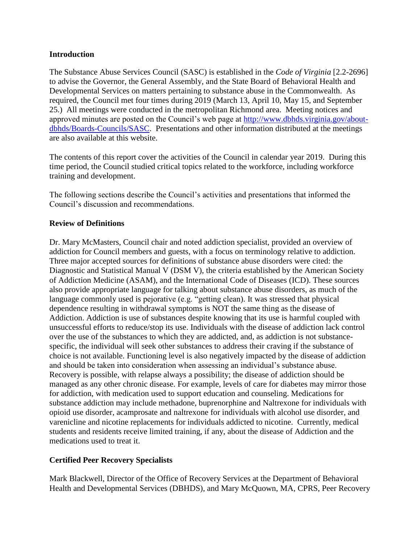#### **Introduction**

The Substance Abuse Services Council (SASC) is established in the *Code of Virginia* [2.2-2696] to advise the Governor, the General Assembly, and the State Board of Behavioral Health and Developmental Services on matters pertaining to substance abuse in the Commonwealth. As required, the Council met four times during 2019 (March 13, April 10, May 15, and September 25.) All meetings were conducted in the metropolitan Richmond area. Meeting notices and approved minutes are posted on the Council's web page at [http://www.dbhds.virginia.gov/about](http://www.dbhds.virginia.gov/about-dbhds/Boards-Councils/SASC)[dbhds/Boards-Councils/SASC.](http://www.dbhds.virginia.gov/about-dbhds/Boards-Councils/SASC) Presentations and other information distributed at the meetings are also available at this website.

The contents of this report cover the activities of the Council in calendar year 2019. During this time period, the Council studied critical topics related to the workforce, including workforce training and development.

The following sections describe the Council's activities and presentations that informed the Council's discussion and recommendations.

#### **Review of Definitions**

Dr. Mary McMasters, Council chair and noted addiction specialist, provided an overview of addiction for Council members and guests, with a focus on terminology relative to addiction. Three major accepted sources for definitions of substance abuse disorders were cited: the Diagnostic and Statistical Manual V (DSM V), the criteria established by the American Society of Addiction Medicine (ASAM), and the International Code of Diseases (ICD). These sources also provide appropriate language for talking about substance abuse disorders, as much of the language commonly used is pejorative (e.g. "getting clean). It was stressed that physical dependence resulting in withdrawal symptoms is NOT the same thing as the disease of Addiction. Addiction is use of substances despite knowing that its use is harmful coupled with unsuccessful efforts to reduce/stop its use. Individuals with the disease of addiction lack control over the use of the substances to which they are addicted, and, as addiction is not substancespecific, the individual will seek other substances to address their craving if the substance of choice is not available. Functioning level is also negatively impacted by the disease of addiction and should be taken into consideration when assessing an individual's substance abuse. Recovery is possible, with relapse always a possibility; the disease of addiction should be managed as any other chronic disease. For example, levels of care for diabetes may mirror those for addiction, with medication used to support education and counseling. Medications for substance addiction may include methadone, buprenorphine and Naltrexone for individuals with opioid use disorder, acamprosate and naltrexone for individuals with alcohol use disorder, and varenicline and nicotine replacements for individuals addicted to nicotine. Currently, medical students and residents receive limited training, if any, about the disease of Addiction and the medications used to treat it.

### **Certified Peer Recovery Specialists**

Mark Blackwell, Director of the Office of Recovery Services at the Department of Behavioral Health and Developmental Services (DBHDS), and Mary McQuown, MA, CPRS, Peer Recovery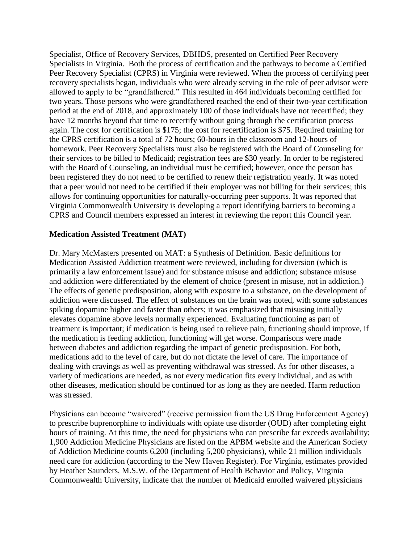Specialist, Office of Recovery Services, DBHDS, presented on Certified Peer Recovery Specialists in Virginia. Both the process of certification and the pathways to become a Certified Peer Recovery Specialist (CPRS) in Virginia were reviewed. When the process of certifying peer recovery specialists began, individuals who were already serving in the role of peer advisor were allowed to apply to be "grandfathered." This resulted in 464 individuals becoming certified for two years. Those persons who were grandfathered reached the end of their two-year certification period at the end of 2018, and approximately 100 of those individuals have not recertified; they have 12 months beyond that time to recertify without going through the certification process again. The cost for certification is \$175; the cost for recertification is \$75. Required training for the CPRS certification is a total of 72 hours; 60-hours in the classroom and 12-hours of homework. Peer Recovery Specialists must also be registered with the Board of Counseling for their services to be billed to Medicaid; registration fees are \$30 yearly. In order to be registered with the Board of Counseling, an individual must be certified; however, once the person has been registered they do not need to be certified to renew their registration yearly. It was noted that a peer would not need to be certified if their employer was not billing for their services; this allows for continuing opportunities for naturally-occurring peer supports. It was reported that Virginia Commonwealth University is developing a report identifying barriers to becoming a CPRS and Council members expressed an interest in reviewing the report this Council year.

#### **Medication Assisted Treatment (MAT)**

Dr. Mary McMasters presented on MAT: a Synthesis of Definition. Basic definitions for Medication Assisted Addiction treatment were reviewed, including for diversion (which is primarily a law enforcement issue) and for substance misuse and addiction; substance misuse and addiction were differentiated by the element of choice (present in misuse, not in addiction.) The effects of genetic predisposition, along with exposure to a substance, on the development of addiction were discussed. The effect of substances on the brain was noted, with some substances spiking dopamine higher and faster than others; it was emphasized that misusing initially elevates dopamine above levels normally experienced. Evaluating functioning as part of treatment is important; if medication is being used to relieve pain, functioning should improve, if the medication is feeding addiction, functioning will get worse. Comparisons were made between diabetes and addiction regarding the impact of genetic predisposition. For both, medications add to the level of care, but do not dictate the level of care. The importance of dealing with cravings as well as preventing withdrawal was stressed. As for other diseases, a variety of medications are needed, as not every medication fits every individual, and as with other diseases, medication should be continued for as long as they are needed. Harm reduction was stressed.

Physicians can become "waivered" (receive permission from the US Drug Enforcement Agency) to prescribe buprenorphine to individuals with opiate use disorder (OUD) after completing eight hours of training. At this time, the need for physicians who can prescribe far exceeds availability; 1,900 Addiction Medicine Physicians are listed on the APBM website and the American Society of Addiction Medicine counts 6,200 (including 5,200 physicians), while 21 million individuals need care for addiction (according to the New Haven Register). For Virginia, estimates provided by Heather Saunders, M.S.W. of the Department of Health Behavior and Policy, Virginia Commonwealth University, indicate that the number of Medicaid enrolled waivered physicians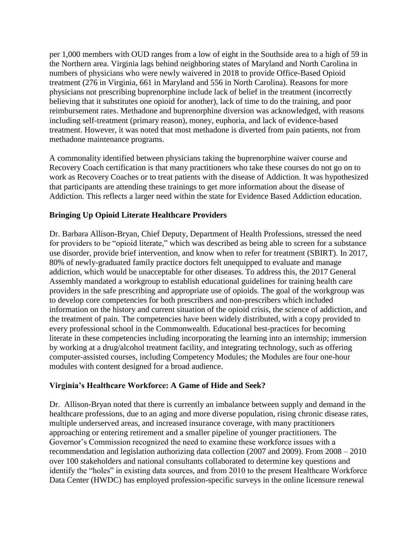per 1,000 members with OUD ranges from a low of eight in the Southside area to a high of 59 in the Northern area. Virginia lags behind neighboring states of Maryland and North Carolina in numbers of physicians who were newly waivered in 2018 to provide Office-Based Opioid treatment (276 in Virginia, 661 in Maryland and 556 in North Carolina). Reasons for more physicians not prescribing buprenorphine include lack of belief in the treatment (incorrectly believing that it substitutes one opioid for another), lack of time to do the training, and poor reimbursement rates. Methadone and buprenorphine diversion was acknowledged, with reasons including self-treatment (primary reason), money, euphoria, and lack of evidence-based treatment. However, it was noted that most methadone is diverted from pain patients, not from methadone maintenance programs.

A commonality identified between physicians taking the buprenorphine waiver course and Recovery Coach certification is that many practitioners who take these courses do not go on to work as Recovery Coaches or to treat patients with the disease of Addiction. It was hypothesized that participants are attending these trainings to get more information about the disease of Addiction. This reflects a larger need within the state for Evidence Based Addiction education.

### **Bringing Up Opioid Literate Healthcare Providers**

Dr. Barbara Allison-Bryan, Chief Deputy, Department of Health Professions, stressed the need for providers to be "opioid literate," which was described as being able to screen for a substance use disorder, provide brief intervention, and know when to refer for treatment (SBIRT). In 2017, 80% of newly-graduated family practice doctors felt unequipped to evaluate and manage addiction, which would be unacceptable for other diseases. To address this, the 2017 General Assembly mandated a workgroup to establish educational guidelines for training health care providers in the safe prescribing and appropriate use of opioids. The goal of the workgroup was to develop core competencies for both prescribers and non-prescribers which included information on the history and current situation of the opioid crisis, the science of addiction, and the treatment of pain. The competencies have been widely distributed, with a copy provided to every professional school in the Commonwealth. Educational best-practices for becoming literate in these competencies including incorporating the learning into an internship; immersion by working at a drug/alcohol treatment facility, and integrating technology, such as offering computer-assisted courses, including Competency Modules; the Modules are four one-hour modules with content designed for a broad audience.

#### **Virginia's Healthcare Workforce: A Game of Hide and Seek?**

Dr. Allison-Bryan noted that there is currently an imbalance between supply and demand in the healthcare professions, due to an aging and more diverse population, rising chronic disease rates, multiple underserved areas, and increased insurance coverage, with many practitioners approaching or entering retirement and a smaller pipeline of younger practitioners. The Governor's Commission recognized the need to examine these workforce issues with a recommendation and legislation authorizing data collection (2007 and 2009). From 2008 – 2010 over 100 stakeholders and national consultants collaborated to determine key questions and identify the "holes" in existing data sources, and from 2010 to the present Healthcare Workforce Data Center (HWDC) has employed profession-specific surveys in the online licensure renewal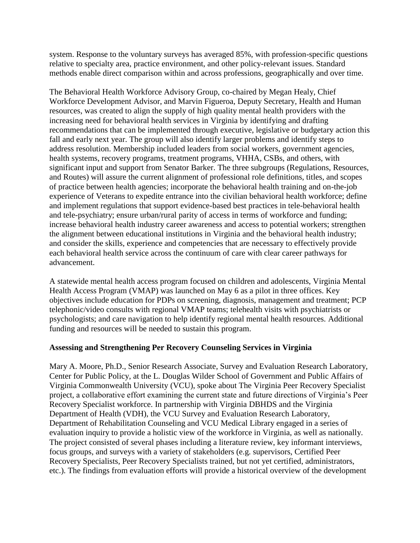system. Response to the voluntary surveys has averaged 85%, with profession-specific questions relative to specialty area, practice environment, and other policy-relevant issues. Standard methods enable direct comparison within and across professions, geographically and over time.

The Behavioral Health Workforce Advisory Group, co-chaired by Megan Healy, Chief Workforce Development Advisor, and Marvin Figueroa, Deputy Secretary, Health and Human resources, was created to align the supply of high quality mental health providers with the increasing need for behavioral health services in Virginia by identifying and drafting recommendations that can be implemented through executive, legislative or budgetary action this fall and early next year. The group will also identify larger problems and identify steps to address resolution. Membership included leaders from social workers, government agencies, health systems, recovery programs, treatment programs, VHHA, CSBs, and others, with significant input and support from Senator Barker. The three subgroups (Regulations, Resources, and Routes) will assure the current alignment of professional role definitions, titles, and scopes of practice between health agencies; incorporate the behavioral health training and on-the-job experience of Veterans to expedite entrance into the civilian behavioral health workforce; define and implement regulations that support evidence-based best practices in tele-behavioral health and tele-psychiatry; ensure urban/rural parity of access in terms of workforce and funding; increase behavioral health industry career awareness and access to potential workers; strengthen the alignment between educational institutions in Virginia and the behavioral health industry; and consider the skills, experience and competencies that are necessary to effectively provide each behavioral health service across the continuum of care with clear career pathways for advancement.

A statewide mental health access program focused on children and adolescents, Virginia Mental Health Access Program (VMAP) was launched on May 6 as a pilot in three offices. Key objectives include education for PDPs on screening, diagnosis, management and treatment; PCP telephonic/video consults with regional VMAP teams; telehealth visits with psychiatrists or psychologists; and care navigation to help identify regional mental health resources. Additional funding and resources will be needed to sustain this program.

#### **Assessing and Strengthening Per Recovery Counseling Services in Virginia**

Mary A. Moore, Ph.D., Senior Research Associate, Survey and Evaluation Research Laboratory, Center for Public Policy, at the L. Douglas Wilder School of Government and Public Affairs of Virginia Commonwealth University (VCU), spoke about The Virginia Peer Recovery Specialist project, a collaborative effort examining the current state and future directions of Virginia's Peer Recovery Specialist workforce. In partnership with Virginia DBHDS and the Virginia Department of Health (VDH), the VCU Survey and Evaluation Research Laboratory, Department of Rehabilitation Counseling and VCU Medical Library engaged in a series of evaluation inquiry to provide a holistic view of the workforce in Virginia, as well as nationally. The project consisted of several phases including a literature review, key informant interviews, focus groups, and surveys with a variety of stakeholders (e.g. supervisors, Certified Peer Recovery Specialists, Peer Recovery Specialists trained, but not yet certified, administrators, etc.). The findings from evaluation efforts will provide a historical overview of the development